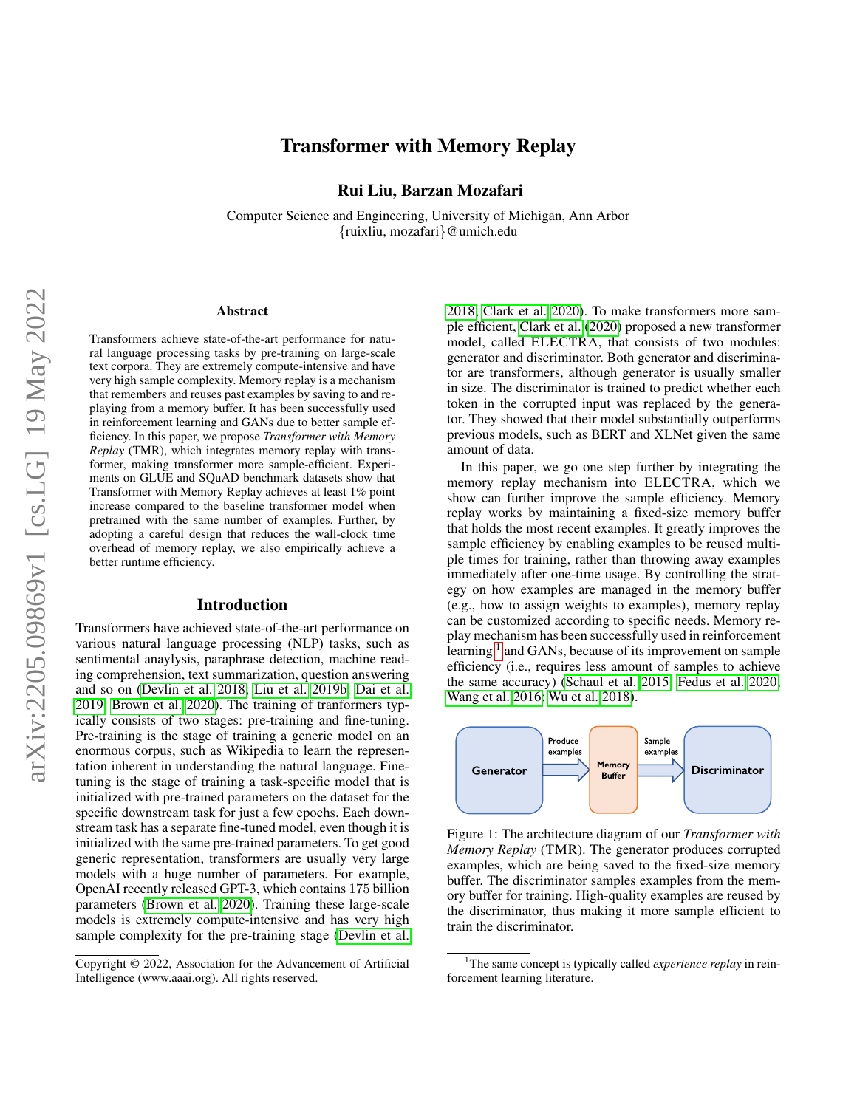# arXiv:2205.09869v1 [cs.LG] 19 May 2022 arXiv:2205.09869v1 [cs.LG] 19 May 2022

# Transformer with Memory Replay

Rui Liu, Barzan Mozafari

Computer Science and Engineering, University of Michigan, Ann Arbor {ruixliu, mozafari}@umich.edu

### Abstract

Transformers achieve state-of-the-art performance for natural language processing tasks by pre-training on large-scale text corpora. They are extremely compute-intensive and have very high sample complexity. Memory replay is a mechanism that remembers and reuses past examples by saving to and replaying from a memory buffer. It has been successfully used in reinforcement learning and GANs due to better sample efficiency. In this paper, we propose *Transformer with Memory Replay* (TMR), which integrates memory replay with transformer, making transformer more sample-efficient. Experiments on GLUE and SQuAD benchmark datasets show that Transformer with Memory Replay achieves at least 1% point increase compared to the baseline transformer model when pretrained with the same number of examples. Further, by adopting a careful design that reduces the wall-clock time overhead of memory replay, we also empirically achieve a better runtime efficiency.

### Introduction

Transformers have achieved state-of-the-art performance on various natural language processing (NLP) tasks, such as sentimental anaylysis, paraphrase detection, machine reading comprehension, text summarization, question answering and so on [\(Devlin et al. 2018;](#page-7-0) [Liu et al. 2019b;](#page-7-1) [Dai et al.](#page-7-2) [2019;](#page-7-2) [Brown et al. 2020\)](#page-7-3). The training of tranformers typically consists of two stages: pre-training and fine-tuning. Pre-training is the stage of training a generic model on an enormous corpus, such as Wikipedia to learn the representation inherent in understanding the natural language. Finetuning is the stage of training a task-specific model that is initialized with pre-trained parameters on the dataset for the specific downstream task for just a few epochs. Each downstream task has a separate fine-tuned model, even though it is initialized with the same pre-trained parameters. To get good generic representation, transformers are usually very large models with a huge number of parameters. For example, OpenAI recently released GPT-3, which contains 175 billion parameters [\(Brown et al. 2020\)](#page-7-3). Training these large-scale models is extremely compute-intensive and has very high sample complexity for the pre-training stage [\(Devlin et al.](#page-7-0) [2018;](#page-7-0) [Clark et al. 2020\)](#page-7-4). To make transformers more sample efficient, [Clark et al.](#page-7-4) [\(2020\)](#page-7-4) proposed a new transformer model, called ELECTRA, that consists of two modules: generator and discriminator. Both generator and discriminator are transformers, although generator is usually smaller in size. The discriminator is trained to predict whether each token in the corrupted input was replaced by the generator. They showed that their model substantially outperforms previous models, such as BERT and XLNet given the same amount of data.

In this paper, we go one step further by integrating the memory replay mechanism into ELECTRA, which we show can further improve the sample efficiency. Memory replay works by maintaining a fixed-size memory buffer that holds the most recent examples. It greatly improves the sample efficiency by enabling examples to be reused multiple times for training, rather than throwing away examples immediately after one-time usage. By controlling the strategy on how examples are managed in the memory buffer (e.g., how to assign weights to examples), memory replay can be customized according to specific needs. Memory replay mechanism has been successfully used in reinforcement learning <sup>[1](#page-0-0)</sup> and GANs, because of its improvement on sample efficiency (i.e., requires less amount of samples to achieve the same accuracy) [\(Schaul et al. 2015;](#page-8-0) [Fedus et al. 2020;](#page-7-5) [Wang et al. 2016;](#page-8-1) [Wu et al. 2018\)](#page-8-2).

<span id="page-0-1"></span>

Figure 1: The architecture diagram of our *Transformer with Memory Replay* (TMR). The generator produces corrupted examples, which are being saved to the fixed-size memory buffer. The discriminator samples examples from the memory buffer for training. High-quality examples are reused by the discriminator, thus making it more sample efficient to train the discriminator.

Copyright © 2022, Association for the Advancement of Artificial Intelligence (www.aaai.org). All rights reserved.

<span id="page-0-0"></span><sup>1</sup>The same concept is typically called *experience replay* in reinforcement learning literature.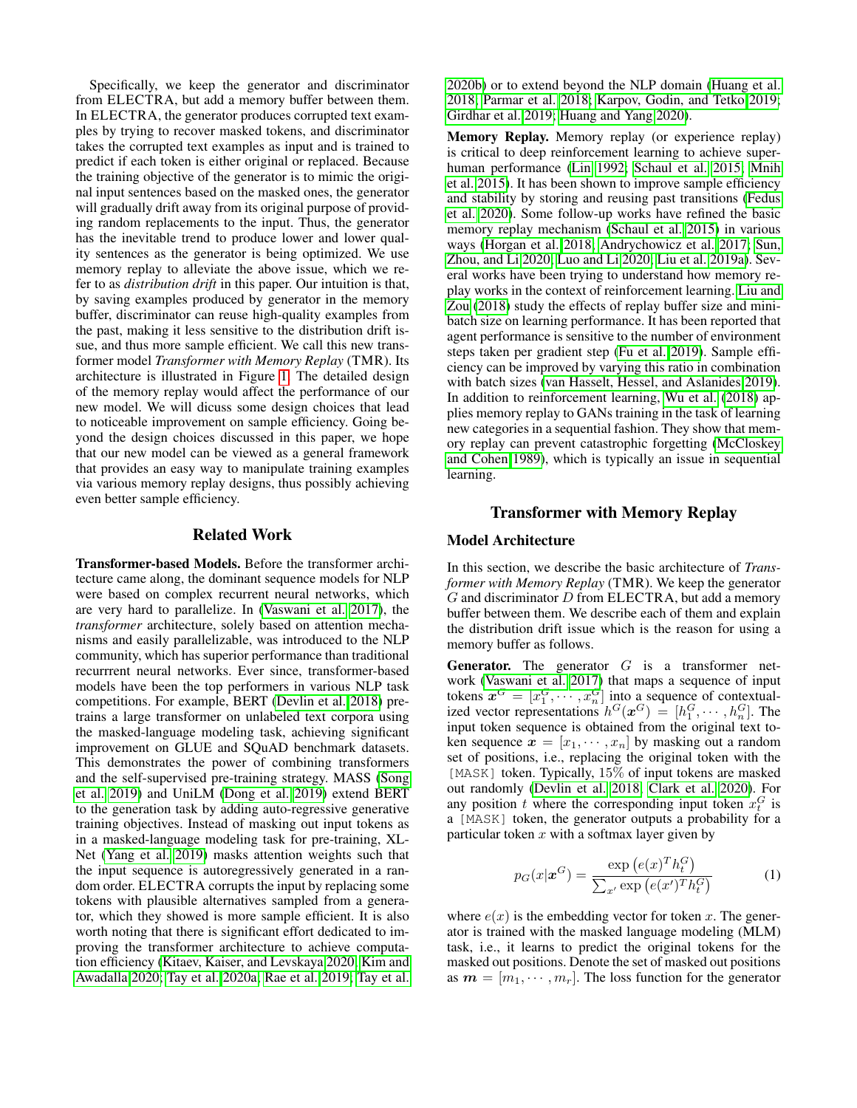Specifically, we keep the generator and discriminator from ELECTRA, but add a memory buffer between them. In ELECTRA, the generator produces corrupted text examples by trying to recover masked tokens, and discriminator takes the corrupted text examples as input and is trained to predict if each token is either original or replaced. Because the training objective of the generator is to mimic the original input sentences based on the masked ones, the generator will gradually drift away from its original purpose of providing random replacements to the input. Thus, the generator has the inevitable trend to produce lower and lower quality sentences as the generator is being optimized. We use memory replay to alleviate the above issue, which we refer to as *distribution drift* in this paper. Our intuition is that, by saving examples produced by generator in the memory buffer, discriminator can reuse high-quality examples from the past, making it less sensitive to the distribution drift issue, and thus more sample efficient. We call this new transformer model *Transformer with Memory Replay* (TMR). Its architecture is illustrated in Figure [1.](#page-0-1) The detailed design of the memory replay would affect the performance of our new model. We will dicuss some design choices that lead to noticeable improvement on sample efficiency. Going beyond the design choices discussed in this paper, we hope that our new model can be viewed as a general framework that provides an easy way to manipulate training examples via various memory replay designs, thus possibly achieving even better sample efficiency.

### Related Work

Transformer-based Models. Before the transformer architecture came along, the dominant sequence models for NLP were based on complex recurrent neural networks, which are very hard to parallelize. In [\(Vaswani et al. 2017\)](#page-8-3), the *transformer* architecture, solely based on attention mechanisms and easily parallelizable, was introduced to the NLP community, which has superior performance than traditional recurrrent neural networks. Ever since, transformer-based models have been the top performers in various NLP task competitions. For example, BERT [\(Devlin et al. 2018\)](#page-7-0) pretrains a large transformer on unlabeled text corpora using the masked-language modeling task, achieving significant improvement on GLUE and SQuAD benchmark datasets. This demonstrates the power of combining transformers and the self-supervised pre-training strategy. MASS [\(Song](#page-8-4) [et al. 2019\)](#page-8-4) and UniLM [\(Dong et al. 2019\)](#page-7-6) extend BERT to the generation task by adding auto-regressive generative training objectives. Instead of masking out input tokens as in a masked-language modeling task for pre-training, XL-Net [\(Yang et al. 2019\)](#page-8-5) masks attention weights such that the input sequence is autoregressively generated in a random order. ELECTRA corrupts the input by replacing some tokens with plausible alternatives sampled from a generator, which they showed is more sample efficient. It is also worth noting that there is significant effort dedicated to improving the transformer architecture to achieve computation efficiency [\(Kitaev, Kaiser, and Levskaya 2020;](#page-7-7) [Kim and](#page-7-8) [Awadalla 2020;](#page-7-8) [Tay et al. 2020a;](#page-8-6) [Rae et al. 2019;](#page-8-7) [Tay et al.](#page-8-8)

[2020b\)](#page-8-8) or to extend beyond the NLP domain [\(Huang et al.](#page-7-9) [2018;](#page-7-9) [Parmar et al. 2018;](#page-8-9) [Karpov, Godin, and Tetko 2019;](#page-7-10) [Girdhar et al. 2019;](#page-7-11) [Huang and Yang 2020\)](#page-7-12).

Memory Replay. Memory replay (or experience replay) is critical to deep reinforcement learning to achieve superhuman performance [\(Lin 1992;](#page-7-13) [Schaul et al. 2015;](#page-8-0) [Mnih](#page-8-10) [et al. 2015\)](#page-8-10). It has been shown to improve sample efficiency and stability by storing and reusing past transitions [\(Fedus](#page-7-5) [et al. 2020\)](#page-7-5). Some follow-up works have refined the basic memory replay mechanism [\(Schaul et al. 2015\)](#page-8-0) in various ways [\(Horgan et al. 2018;](#page-7-14) [Andrychowicz et al. 2017;](#page-7-15) [Sun,](#page-8-11) [Zhou, and Li 2020;](#page-8-11) [Luo and Li 2020;](#page-7-16) [Liu et al. 2019a\)](#page-7-17). Several works have been trying to understand how memory replay works in the context of reinforcement learning. [Liu and](#page-7-18) [Zou](#page-7-18) [\(2018\)](#page-7-18) study the effects of replay buffer size and minibatch size on learning performance. It has been reported that agent performance is sensitive to the number of environment steps taken per gradient step [\(Fu et al. 2019\)](#page-7-19). Sample efficiency can be improved by varying this ratio in combination with batch sizes [\(van Hasselt, Hessel, and Aslanides 2019\)](#page-8-12). In addition to reinforcement learning, [Wu et al.](#page-8-2) [\(2018\)](#page-8-2) applies memory replay to GANs training in the task of learning new categories in a sequential fashion. They show that memory replay can prevent catastrophic forgetting [\(McCloskey](#page-7-20) [and Cohen 1989\)](#page-7-20), which is typically an issue in sequential learning.

### Transformer with Memory Replay

## Model Architecture

In this section, we describe the basic architecture of *Transformer with Memory Replay* (TMR). We keep the generator  $G$  and discriminator  $D$  from ELECTRA, but add a memory buffer between them. We describe each of them and explain the distribution drift issue which is the reason for using a memory buffer as follows.

**Generator.** The generator  $G$  is a transformer network [\(Vaswani et al. 2017\)](#page-8-3) that maps a sequence of input tokens  $x^G = [x_1^G, \cdots, x_n^G]$  into a sequence of contextualized vector representations  $h^G(\boldsymbol{x}^G) = [h_1^G, \cdots, h_n^G]$ . The input token sequence is obtained from the original text token sequence  $x = [x_1, \dots, x_n]$  by masking out a random set of positions, i.e., replacing the original token with the [MASK] token. Typically, 15% of input tokens are masked out randomly [\(Devlin et al. 2018;](#page-7-0) [Clark et al. 2020\)](#page-7-4). For any position t where the corresponding input token  $x_t^G$  is a [MASK] token, the generator outputs a probability for a particular token  $x$  with a softmax layer given by

<span id="page-1-0"></span>
$$
p_G(x|\boldsymbol{x}^G) = \frac{\exp(e(x)^T h_t^G)}{\sum_{x'} \exp(e(x')^T h_t^G)}
$$
(1)

where  $e(x)$  is the embedding vector for token x. The generator is trained with the masked language modeling (MLM) task, i.e., it learns to predict the original tokens for the masked out positions. Denote the set of masked out positions as  $m = [m_1, \dots, m_r]$ . The loss function for the generator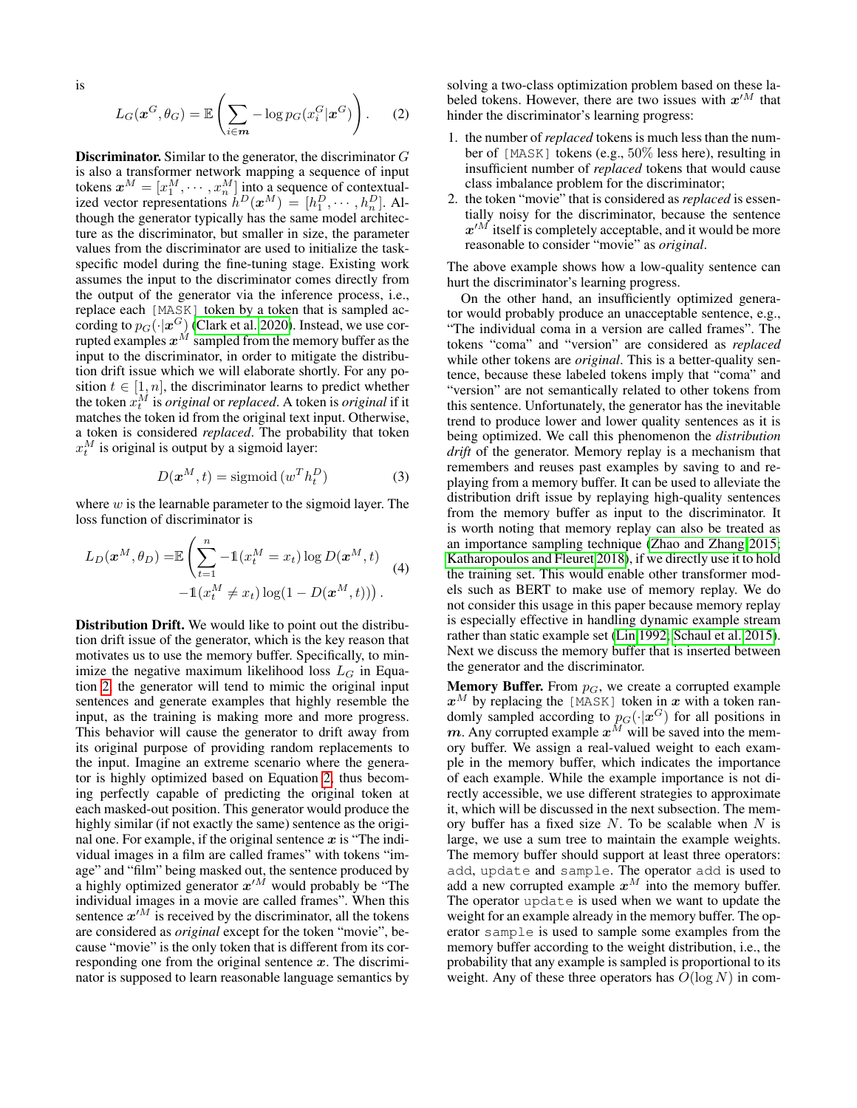is

<span id="page-2-0"></span>
$$
L_G(\boldsymbol{x}^G, \theta_G) = \mathbb{E}\left(\sum_{i \in \mathbf{m}} -\log p_G(x_i^G | \boldsymbol{x}^G)\right).
$$
 (2)

Discriminator. Similar to the generator, the discriminator G is also a transformer network mapping a sequence of input tokens  $x^M = [x_1^M, \dots, x_n^M]$  into a sequence of contextualized vector representations  $\dot{h}^D(\boldsymbol{x}^M) = [h_1^D, \cdots, h_n^D]$ . Although the generator typically has the same model architecture as the discriminator, but smaller in size, the parameter values from the discriminator are used to initialize the taskspecific model during the fine-tuning stage. Existing work assumes the input to the discriminator comes directly from the output of the generator via the inference process, i.e., replace each [MASK] token by a token that is sampled according to  $p_G(\cdot|\boldsymbol{x}^G)$  [\(Clark et al. 2020\)](#page-7-4). Instead, we use corrupted examples  $x^M$  sampled from the memory buffer as the input to the discriminator, in order to mitigate the distribution drift issue which we will elaborate shortly. For any position  $t \in [1, n]$ , the discriminator learns to predict whether the token  $\dot{x}_t^M$  is *original* or *replaced*. A token is *original* if it matches the token id from the original text input. Otherwise, a token is considered *replaced*. The probability that token  $x_t^M$  is original is output by a sigmoid layer:

$$
D(\boldsymbol{x}^{M}, t) = \text{sigmoid}(w^{T} h_{t}^{D})
$$
\n(3)

where  $w$  is the learnable parameter to the sigmoid layer. The loss function of discriminator is

<span id="page-2-1"></span>
$$
L_D(\mathbf{x}^M, \theta_D) = \mathbb{E}\left(\sum_{t=1}^n -1(x_t^M = x_t)\log D(\mathbf{x}^M, t)\right) -1(x_t^M \neq x_t)\log(1 - D(\mathbf{x}^M, t))).
$$
(4)

Distribution Drift. We would like to point out the distribution drift issue of the generator, which is the key reason that motivates us to use the memory buffer. Specifically, to minimize the negative maximum likelihood loss  $L_G$  in Equation [2,](#page-2-0) the generator will tend to mimic the original input sentences and generate examples that highly resemble the input, as the training is making more and more progress. This behavior will cause the generator to drift away from its original purpose of providing random replacements to the input. Imagine an extreme scenario where the generator is highly optimized based on Equation [2,](#page-2-0) thus becoming perfectly capable of predicting the original token at each masked-out position. This generator would produce the highly similar (if not exactly the same) sentence as the original one. For example, if the original sentence  $x$  is "The individual images in a film are called frames" with tokens "image" and "film" being masked out, the sentence produced by a highly optimized generator  $x^{\prime M}$  would probably be "The individual images in a movie are called frames". When this sentence  $x^{\prime M}$  is received by the discriminator, all the tokens are considered as *original* except for the token "movie", because "movie" is the only token that is different from its corresponding one from the original sentence  $x$ . The discriminator is supposed to learn reasonable language semantics by

solving a two-class optimization problem based on these labeled tokens. However, there are two issues with  $x^{\prime M}$  that hinder the discriminator's learning progress:

- 1. the number of *replaced* tokens is much less than the number of [MASK] tokens (e.g., 50% less here), resulting in insufficient number of *replaced* tokens that would cause class imbalance problem for the discriminator;
- 2. the token "movie" that is considered as *replaced* is essentially noisy for the discriminator, because the sentence  $x^{\prime M}$  itself is completely acceptable, and it would be more reasonable to consider "movie" as *original*.

The above example shows how a low-quality sentence can hurt the discriminator's learning progress.

On the other hand, an insufficiently optimized generator would probably produce an unacceptable sentence, e.g., "The individual coma in a version are called frames". The tokens "coma" and "version" are considered as *replaced* while other tokens are *original*. This is a better-quality sentence, because these labeled tokens imply that "coma" and "version" are not semantically related to other tokens from this sentence. Unfortunately, the generator has the inevitable trend to produce lower and lower quality sentences as it is being optimized. We call this phenomenon the *distribution drift* of the generator. Memory replay is a mechanism that remembers and reuses past examples by saving to and replaying from a memory buffer. It can be used to alleviate the distribution drift issue by replaying high-quality sentences from the memory buffer as input to the discriminator. It is worth noting that memory replay can also be treated as an importance sampling technique [\(Zhao and Zhang 2015;](#page-8-13) [Katharopoulos and Fleuret 2018\)](#page-7-21), if we directly use it to hold the training set. This would enable other transformer models such as BERT to make use of memory replay. We do not consider this usage in this paper because memory replay is especially effective in handling dynamic example stream rather than static example set [\(Lin 1992;](#page-7-13) [Schaul et al. 2015\)](#page-8-0). Next we discuss the memory buffer that is inserted between the generator and the discriminator.

**Memory Buffer.** From  $p_G$ , we create a corrupted example  $x^M$  by replacing the [MASK] token in x with a token randomly sampled according to  $p_G(\cdot|\boldsymbol{x}^G)$  for all positions in m. Any corrupted example  $x^M$  will be saved into the memory buffer. We assign a real-valued weight to each example in the memory buffer, which indicates the importance of each example. While the example importance is not directly accessible, we use different strategies to approximate it, which will be discussed in the next subsection. The memory buffer has a fixed size  $N$ . To be scalable when  $N$  is large, we use a sum tree to maintain the example weights. The memory buffer should support at least three operators: add, update and sample. The operator add is used to add a new corrupted example  $x^M$  into the memory buffer. The operator update is used when we want to update the weight for an example already in the memory buffer. The operator sample is used to sample some examples from the memory buffer according to the weight distribution, i.e., the probability that any example is sampled is proportional to its weight. Any of these three operators has  $O(\log N)$  in com-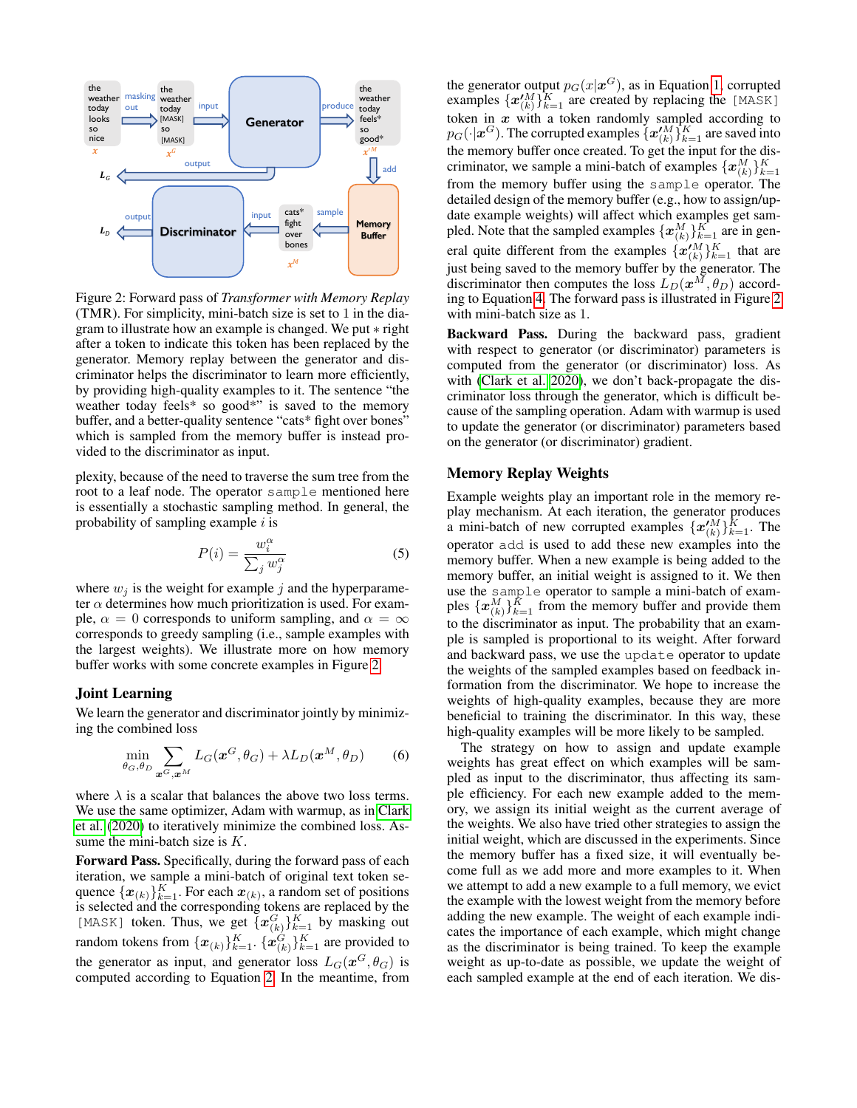<span id="page-3-0"></span>

Figure 2: Forward pass of *Transformer with Memory Replay* (TMR). For simplicity, mini-batch size is set to 1 in the diagram to illustrate how an example is changed. We put ∗ right after a token to indicate this token has been replaced by the generator. Memory replay between the generator and discriminator helps the discriminator to learn more efficiently, by providing high-quality examples to it. The sentence "the weather today feels\* so good\*" is saved to the memory buffer, and a better-quality sentence "cats\* fight over bones" which is sampled from the memory buffer is instead provided to the discriminator as input.

plexity, because of the need to traverse the sum tree from the root to a leaf node. The operator sample mentioned here is essentially a stochastic sampling method. In general, the probability of sampling example  $i$  is

$$
P(i) = \frac{w_i^{\alpha}}{\sum_j w_j^{\alpha}}
$$
 (5)

where  $w_j$  is the weight for example j and the hyperparameter  $\alpha$  determines how much prioritization is used. For example,  $\alpha = 0$  corresponds to uniform sampling, and  $\alpha = \infty$ corresponds to greedy sampling (i.e., sample examples with the largest weights). We illustrate more on how memory buffer works with some concrete examples in Figure [2.](#page-3-0)

### Joint Learning

We learn the generator and discriminator jointly by minimizing the combined loss

$$
\min_{\theta_G, \theta_D} \sum_{\boldsymbol{x}^G, \boldsymbol{x}^M} L_G(\boldsymbol{x}^G, \theta_G) + \lambda L_D(\boldsymbol{x}^M, \theta_D) \tag{6}
$$

where  $\lambda$  is a scalar that balances the above two loss terms. We use the same optimizer, Adam with warmup, as in [Clark](#page-7-4) [et al.](#page-7-4) [\(2020\)](#page-7-4) to iteratively minimize the combined loss. Assume the mini-batch size is  $K$ .

Forward Pass. Specifically, during the forward pass of each iteration, we sample a mini-batch of original text token sequence  $\{\boldsymbol{x}_{(k)}\}_{k=1}^K$ . For each  $\boldsymbol{x}_{(k)}$ , a random set of positions is selected and the corresponding tokens are replaced by the [MASK] token. Thus, we get  $\{x_{(k)}^G\}_{k=1}^K$  by masking out random tokens from  $\{\boldsymbol{x}_{(k)}\}_{k=1}^K$ .  $\{\boldsymbol{x}_{(k)}^G\}_{k=1}^K$  are provided to the generator as input, and generator loss  $L_G(\boldsymbol{x}^G,\theta_G)$  is computed according to Equation [2.](#page-2-0) In the meantime, from

the generator output  $p_G(x|\boldsymbol{x}^G)$ , as in Equation [1,](#page-1-0) corrupted examples  $\{x_{(k)}^{\prime M}\}_{k=1}^{K}$  are created by replacing the [MASK] token in  $x$  with a token randomly sampled according to  $p_G(\cdot|\boldsymbol{x}^G).$  The corrupted examples  $\{\boldsymbol{x}'^M_{(k)}\}_{k=1}^K$  are saved into the memory buffer once created. To get the input for the discriminator, we sample a mini-batch of examples  $\{x_{(k)}^M\}_{k=1}^K$ from the memory buffer using the sample operator. The detailed design of the memory buffer (e.g., how to assign/update example weights) will affect which examples get sampled. Note that the sampled examples  $\{x_{(k)}^M\}_{k=1}^K$  are in general quite different from the examples  $\{x'^M_{(k)}\}_{k=1}^K$  that are just being saved to the memory buffer by the generator. The discriminator then computes the loss  $L_D(\boldsymbol{x}^M, \theta_D)$  according to Equation [4.](#page-2-1) The forward pass is illustrated in Figure [2](#page-3-0) with mini-batch size as 1.

Backward Pass. During the backward pass, gradient with respect to generator (or discriminator) parameters is computed from the generator (or discriminator) loss. As with [\(Clark et al. 2020\)](#page-7-4), we don't back-propagate the discriminator loss through the generator, which is difficult because of the sampling operation. Adam with warmup is used to update the generator (or discriminator) parameters based on the generator (or discriminator) gradient.

### Memory Replay Weights

Example weights play an important role in the memory replay mechanism. At each iteration, the generator produces a mini-batch of new corrupted examples  $\{x_{(k)}^{\prime M}\}_{k=1}^{\tilde{K}}$ . The operator add is used to add these new examples into the memory buffer. When a new example is being added to the memory buffer, an initial weight is assigned to it. We then use the sample operator to sample a mini-batch of examples  $\{\boldsymbol{x}_{(k)}^M\}_{k=1}^{\tilde{K}}$  from the memory buffer and provide them to the discriminator as input. The probability that an example is sampled is proportional to its weight. After forward and backward pass, we use the update operator to update the weights of the sampled examples based on feedback information from the discriminator. We hope to increase the weights of high-quality examples, because they are more beneficial to training the discriminator. In this way, these high-quality examples will be more likely to be sampled.

The strategy on how to assign and update example weights has great effect on which examples will be sampled as input to the discriminator, thus affecting its sample efficiency. For each new example added to the memory, we assign its initial weight as the current average of the weights. We also have tried other strategies to assign the initial weight, which are discussed in the experiments. Since the memory buffer has a fixed size, it will eventually become full as we add more and more examples to it. When we attempt to add a new example to a full memory, we evict the example with the lowest weight from the memory before adding the new example. The weight of each example indicates the importance of each example, which might change as the discriminator is being trained. To keep the example weight as up-to-date as possible, we update the weight of each sampled example at the end of each iteration. We dis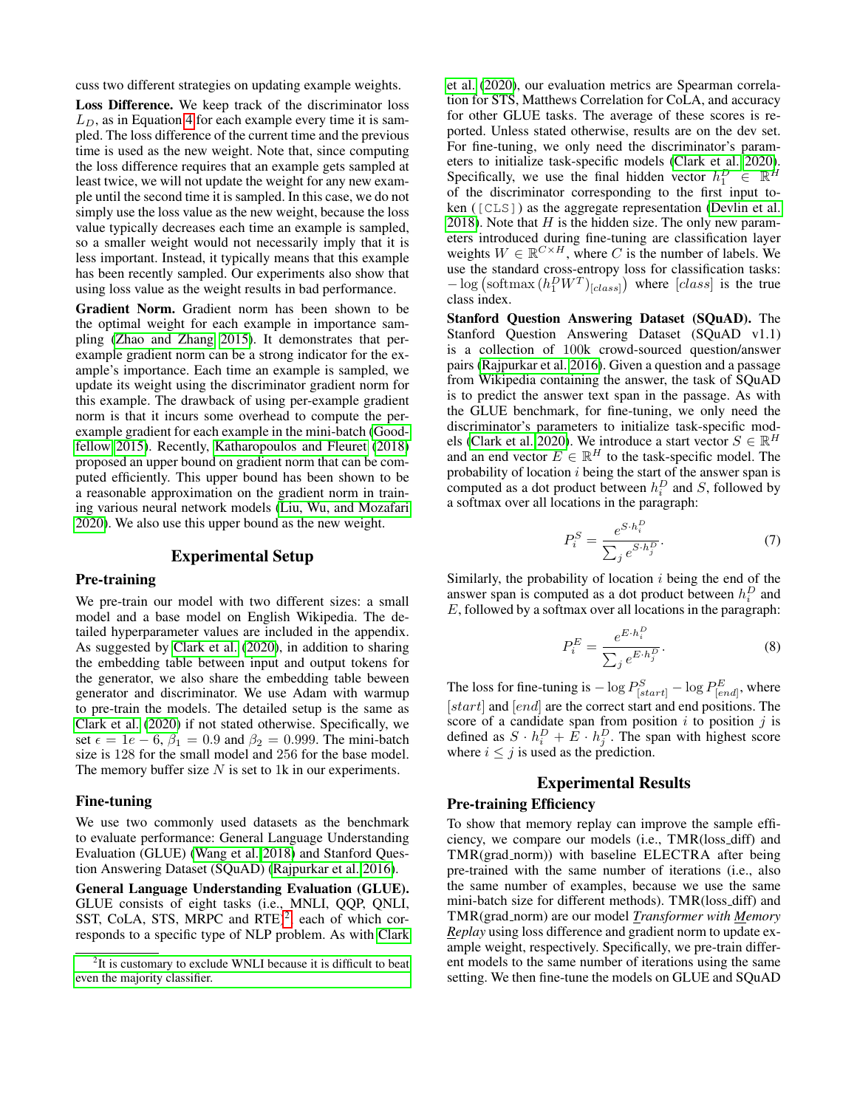cuss two different strategies on updating example weights.

Loss Difference. We keep track of the discriminator loss  $L<sub>D</sub>$ , as in Equation [4](#page-2-1) for each example every time it is sampled. The loss difference of the current time and the previous time is used as the new weight. Note that, since computing the loss difference requires that an example gets sampled at least twice, we will not update the weight for any new example until the second time it is sampled. In this case, we do not simply use the loss value as the new weight, because the loss value typically decreases each time an example is sampled, so a smaller weight would not necessarily imply that it is less important. Instead, it typically means that this example has been recently sampled. Our experiments also show that using loss value as the weight results in bad performance.

Gradient Norm. Gradient norm has been shown to be the optimal weight for each example in importance sampling [\(Zhao and Zhang 2015\)](#page-8-13). It demonstrates that perexample gradient norm can be a strong indicator for the example's importance. Each time an example is sampled, we update its weight using the discriminator gradient norm for this example. The drawback of using per-example gradient norm is that it incurs some overhead to compute the perexample gradient for each example in the mini-batch [\(Good](#page-7-22)[fellow 2015\)](#page-7-22). Recently, [Katharopoulos and Fleuret](#page-7-21) [\(2018\)](#page-7-21) proposed an upper bound on gradient norm that can be computed efficiently. This upper bound has been shown to be a reasonable approximation on the gradient norm in training various neural network models [\(Liu, Wu, and Mozafari](#page-7-23) [2020\)](#page-7-23). We also use this upper bound as the new weight.

### Experimental Setup

### Pre-training

We pre-train our model with two different sizes: a small model and a base model on English Wikipedia. The detailed hyperparameter values are included in the appendix. As suggested by [Clark et al.](#page-7-4) [\(2020\)](#page-7-4), in addition to sharing the embedding table between input and output tokens for the generator, we also share the embedding table beween generator and discriminator. We use Adam with warmup to pre-train the models. The detailed setup is the same as [Clark et al.](#page-7-4) [\(2020\)](#page-7-4) if not stated otherwise. Specifically, we set  $\epsilon = 1e - 6$ ,  $\beta_1 = 0.9$  and  $\beta_2 = 0.999$ . The mini-batch size is 128 for the small model and 256 for the base model. The memory buffer size  $N$  is set to 1k in our experiments.

### Fine-tuning

We use two commonly used datasets as the benchmark to evaluate performance: General Language Understanding Evaluation (GLUE) [\(Wang et al. 2018\)](#page-8-14) and Stanford Question Answering Dataset (SQuAD) [\(Rajpurkar et al. 2016\)](#page-8-15).

General Language Understanding Evaluation (GLUE). GLUE consists of eight tasks (i.e., MNLI, QQP, QNLI, SST, CoLA, STS, MRPC and  $RTE)^2$  $RTE)^2$ , each of which corresponds to a specific type of NLP problem. As with [Clark](#page-7-4)

[et al.](#page-7-4) [\(2020\)](#page-7-4), our evaluation metrics are Spearman correlation for STS, Matthews Correlation for CoLA, and accuracy for other GLUE tasks. The average of these scores is reported. Unless stated otherwise, results are on the dev set. For fine-tuning, we only need the discriminator's parameters to initialize task-specific models [\(Clark et al. 2020\)](#page-7-4). Specifically, we use the final hidden vector  $h_1^D \in \mathbb{R}^{\hat{H}}$ of the discriminator corresponding to the first input token ([CLS]) as the aggregate representation [\(Devlin et al.](#page-7-0) [2018\)](#page-7-0). Note that  $H$  is the hidden size. The only new parameters introduced during fine-tuning are classification layer weights  $W \in \mathbb{R}^{C \times H}$ , where C is the number of labels. We use the standard cross-entropy loss for classification tasks:  $-\log \left( \frac{\text{softmax} (h_1^D W^T)_{[class]}}{\text{index} s} \right)$  where  $[class]$  is the true class index.

Stanford Question Answering Dataset (SQuAD). The Stanford Question Answering Dataset (SQuAD v1.1) is a collection of 100k crowd-sourced question/answer pairs [\(Rajpurkar et al. 2016\)](#page-8-15). Given a question and a passage from Wikipedia containing the answer, the task of SQuAD is to predict the answer text span in the passage. As with the GLUE benchmark, for fine-tuning, we only need the discriminator's parameters to initialize task-specific mod-els [\(Clark et al. 2020\)](#page-7-4). We introduce a start vector  $S \in \mathbb{R}^H$ and an end vector  $E \in \mathbb{R}^H$  to the task-specific model. The probability of location  $i$  being the start of the answer span is computed as a dot product between  $h_i^D$  and S, followed by a softmax over all locations in the paragraph:

$$
P_i^S = \frac{e^{S \cdot h_i^D}}{\sum_j e^{S \cdot h_j^D}}.\tag{7}
$$

Similarly, the probability of location  $i$  being the end of the answer span is computed as a dot product between  $h_i^D$  and E, followed by a softmax over all locations in the paragraph:

$$
P_i^E = \frac{e^{E \cdot h_i^D}}{\sum_j e^{E \cdot h_j^D}}.\tag{8}
$$

The loss for fine-tuning is  $-\log P_{[start]}^S - \log P_{[end]}^E$ , where [start] and [end] are the correct start and end positions. The score of a candidate span from position  $i$  to position  $j$  is defined as  $S \cdot h_i^D + \overline{E} \cdot h_j^D$ . The span with highest score where  $i \leq j$  is used as the prediction.

# Experimental Results Pre-training Efficiency

To show that memory replay can improve the sample efficiency, we compare our models (i.e., TMR(loss diff) and TMR(grad norm)) with baseline ELECTRA after being pre-trained with the same number of iterations (i.e., also the same number of examples, because we use the same mini-batch size for different methods). TMR(loss diff) and TMR(grad norm) are our model *Transformer with Memory Replay* using loss difference and gradient norm to update example weight, respectively. Specifically, we pre-train different models to the same number of iterations using the same setting. We then fine-tune the models on GLUE and SQuAD

<span id="page-4-0"></span><sup>&</sup>lt;sup>2</sup>[It is customary to exclude WNLI because it is difficult to beat](#page-7-4) [even the majority classifier.](#page-7-4)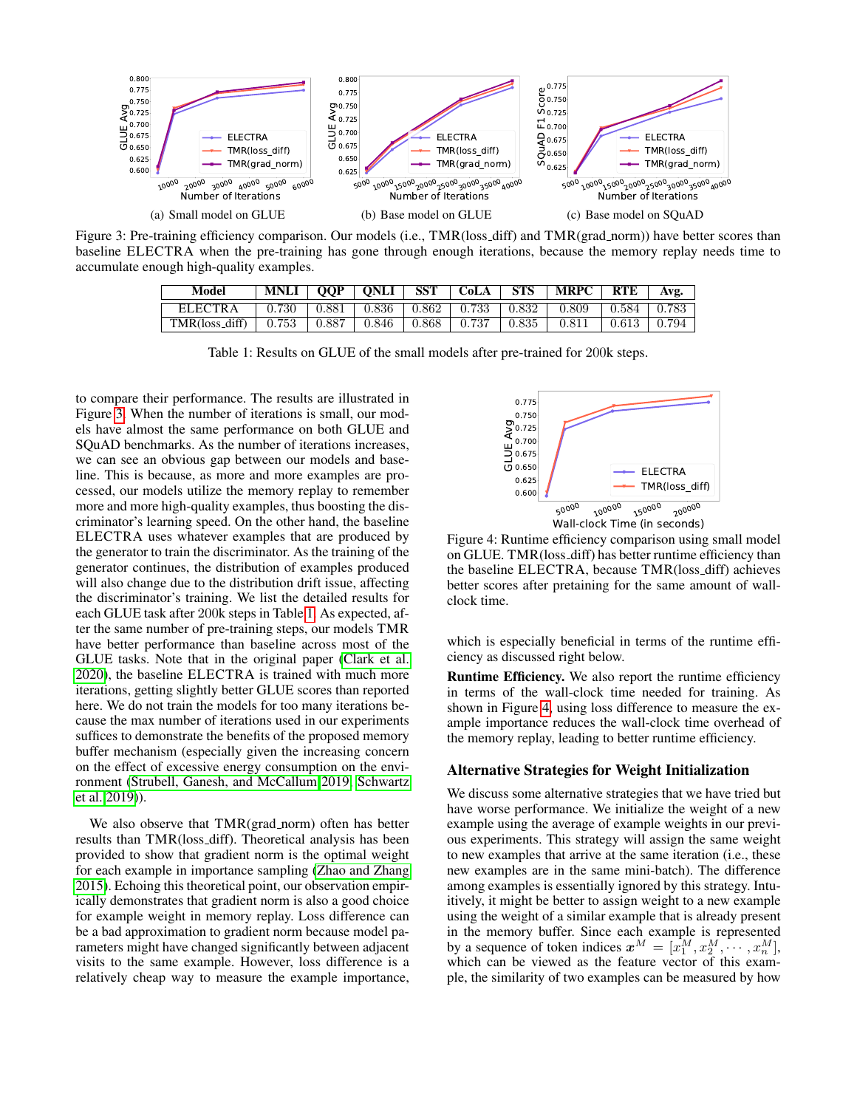<span id="page-5-0"></span>

<span id="page-5-1"></span>Figure 3: Pre-training efficiency comparison. Our models (i.e., TMR(loss\_diff) and TMR(grad\_norm)) have better scores than baseline ELECTRA when the pre-training has gone through enough iterations, because the memory replay needs time to accumulate enough high-quality examples.

| Model          | MNLI  | <b>OOP</b> | ONLI        | <b>SST</b> | CoLA              | <b>STS</b> | <b>MRPC</b> | <b>RTE</b> | Avg.  |
|----------------|-------|------------|-------------|------------|-------------------|------------|-------------|------------|-------|
| <b>ELECTRA</b> | 0.730 | 0.881      | $\pm 0.836$ |            | $0.862 \pm 0.733$ | 0.832      | 0.809       | 0.584      | 0.783 |
| TMR(loss_diff) | 0.753 | 0.887      | 0.846       | 0.868      | 0.737             | 0.835      | 0.811       | 0.613      | 0.794 |

Table 1: Results on GLUE of the small models after pre-trained for 200k steps.

to compare their performance. The results are illustrated in Figure [3.](#page-5-0) When the number of iterations is small, our models have almost the same performance on both GLUE and SQuAD benchmarks. As the number of iterations increases, we can see an obvious gap between our models and baseline. This is because, as more and more examples are processed, our models utilize the memory replay to remember more and more high-quality examples, thus boosting the discriminator's learning speed. On the other hand, the baseline ELECTRA uses whatever examples that are produced by the generator to train the discriminator. As the training of the generator continues, the distribution of examples produced will also change due to the distribution drift issue, affecting the discriminator's training. We list the detailed results for each GLUE task after 200k steps in Table [1.](#page-5-1) As expected, after the same number of pre-training steps, our models TMR have better performance than baseline across most of the GLUE tasks. Note that in the original paper [\(Clark et al.](#page-7-4) [2020\)](#page-7-4), the baseline ELECTRA is trained with much more iterations, getting slightly better GLUE scores than reported here. We do not train the models for too many iterations because the max number of iterations used in our experiments suffices to demonstrate the benefits of the proposed memory buffer mechanism (especially given the increasing concern on the effect of excessive energy consumption on the environment [\(Strubell, Ganesh, and McCallum 2019;](#page-8-16) [Schwartz](#page-8-17) [et al. 2019\)](#page-8-17)).

We also observe that TMR(grad\_norm) often has better results than TMR(loss diff). Theoretical analysis has been provided to show that gradient norm is the optimal weight for each example in importance sampling [\(Zhao and Zhang](#page-8-13) [2015\)](#page-8-13). Echoing this theoretical point, our observation empirically demonstrates that gradient norm is also a good choice for example weight in memory replay. Loss difference can be a bad approximation to gradient norm because model parameters might have changed significantly between adjacent visits to the same example. However, loss difference is a relatively cheap way to measure the example importance,

<span id="page-5-2"></span>

Figure 4: Runtime efficiency comparison using small model on GLUE. TMR(loss diff) has better runtime efficiency than the baseline ELECTRA, because TMR(loss diff) achieves better scores after pretaining for the same amount of wallclock time.

which is especially beneficial in terms of the runtime efficiency as discussed right below.

Runtime Efficiency. We also report the runtime efficiency in terms of the wall-clock time needed for training. As shown in Figure [4,](#page-5-2) using loss difference to measure the example importance reduces the wall-clock time overhead of the memory replay, leading to better runtime efficiency.

### Alternative Strategies for Weight Initialization

We discuss some alternative strategies that we have tried but have worse performance. We initialize the weight of a new example using the average of example weights in our previous experiments. This strategy will assign the same weight to new examples that arrive at the same iteration (i.e., these new examples are in the same mini-batch). The difference among examples is essentially ignored by this strategy. Intuitively, it might be better to assign weight to a new example using the weight of a similar example that is already present in the memory buffer. Since each example is represented by a sequence of token indices  $x^M = [x_1^M, x_2^M, \dots, x_n^M]$ , which can be viewed as the feature vector of this example, the similarity of two examples can be measured by how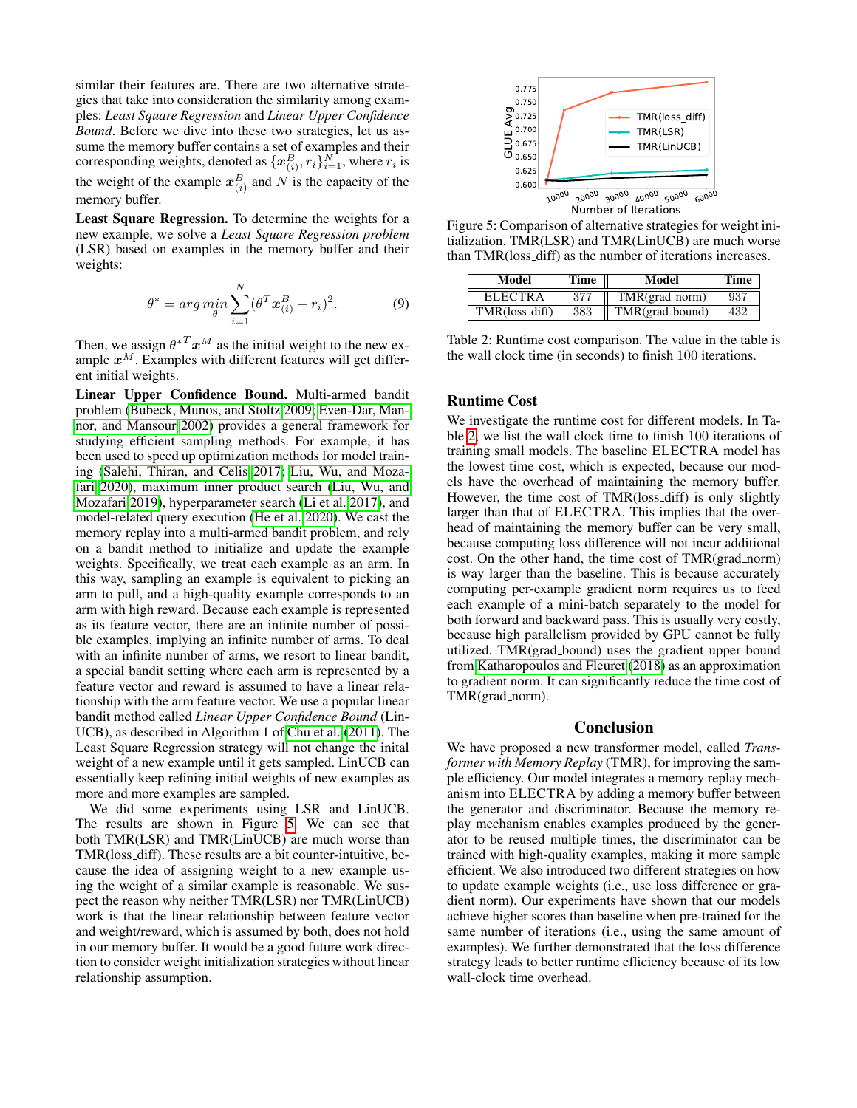similar their features are. There are two alternative strategies that take into consideration the similarity among examples: *Least Square Regression* and *Linear Upper Confidence Bound*. Before we dive into these two strategies, let us assume the memory buffer contains a set of examples and their corresponding weights, denoted as  $\{x_{(i)}^B, r_i\}_{i=1}^N$ , where  $r_i$  is the weight of the example  $x_{(i)}^B$  and N is the capacity of the memory buffer.

Least Square Regression. To determine the weights for a new example, we solve a *Least Square Regression problem* (LSR) based on examples in the memory buffer and their weights:

$$
\theta^* = \arg\min_{\theta} \sum_{i=1}^{N} (\theta^T \mathbf{x}_{(i)}^B - r_i)^2.
$$
 (9)

Then, we assign  $\theta^{*T} x^M$  as the initial weight to the new example  $x^M$ . Examples with different features will get different initial weights.

Linear Upper Confidence Bound. Multi-armed bandit problem [\(Bubeck, Munos, and Stoltz 2009;](#page-7-24) [Even-Dar, Man](#page-7-25)[nor, and Mansour 2002\)](#page-7-25) provides a general framework for studying efficient sampling methods. For example, it has been used to speed up optimization methods for model training [\(Salehi, Thiran, and Celis 2017;](#page-8-18) [Liu, Wu, and Moza](#page-7-23)[fari 2020\)](#page-7-23), maximum inner product search [\(Liu, Wu, and](#page-7-26) [Mozafari 2019\)](#page-7-26), hyperparameter search [\(Li et al. 2017\)](#page-7-27), and model-related query execution [\(He et al. 2020\)](#page-7-28). We cast the memory replay into a multi-armed bandit problem, and rely on a bandit method to initialize and update the example weights. Specifically, we treat each example as an arm. In this way, sampling an example is equivalent to picking an arm to pull, and a high-quality example corresponds to an arm with high reward. Because each example is represented as its feature vector, there are an infinite number of possible examples, implying an infinite number of arms. To deal with an infinite number of arms, we resort to linear bandit, a special bandit setting where each arm is represented by a feature vector and reward is assumed to have a linear relationship with the arm feature vector. We use a popular linear bandit method called *Linear Upper Confidence Bound* (Lin-UCB), as described in Algorithm 1 of [Chu et al.](#page-7-29) [\(2011\)](#page-7-29). The Least Square Regression strategy will not change the inital weight of a new example until it gets sampled. LinUCB can essentially keep refining initial weights of new examples as more and more examples are sampled. meanny bartier.<br>
Least Square Regression. To determine the weights for a<br>
Least Square Regression. To determine the weights for a<br>
Least Square Regression. To determine the weights for a<br>
Least Square Regression cosmples

We did some experiments using LSR and LinUCB. The results are shown in Figure [5.](#page-6-0) We can see that both TMR(LSR) and TMR(LinUCB) are much worse than TMR(loss diff). These results are a bit counter-intuitive, because the idea of assigning weight to a new example using the weight of a similar example is reasonable. We suspect the reason why neither TMR(LSR) nor TMR(LinUCB) work is that the linear relationship between feature vector and weight/reward, which is assumed by both, does not hold in our memory buffer. It would be a good future work direction to consider weight initialization strategies without linear

<span id="page-6-0"></span>

Figure 5: Comparison of alternative strategies for weight initialization. TMR(LSR) and TMR(LinUCB) are much worse than TMR(loss diff) as the number of iterations increases.

<span id="page-6-1"></span>

| Model          | Time | Model           | Time |  |
|----------------|------|-----------------|------|--|
| <b>ELECTRA</b> | 377  | TMR(grad_norm)  | 937  |  |
| TMR(loss_diff) | 383  | TMR(grad_bound) | 432  |  |

Table 2: Runtime cost comparison. The value in the table is the wall clock time (in seconds) to finish 100 iterations.

### Runtime Cost

We investigate the runtime cost for different models. In Table [2,](#page-6-1) we list the wall clock time to finish 100 iterations of training small models. The baseline ELECTRA model has the lowest time cost, which is expected, because our models have the overhead of maintaining the memory buffer. However, the time cost of TMR(loss diff) is only slightly larger than that of ELECTRA. This implies that the overhead of maintaining the memory buffer can be very small, because computing loss difference will not incur additional cost. On the other hand, the time cost of TMR(grad norm) is way larger than the baseline. This is because accurately computing per-example gradient norm requires us to feed each example of a mini-batch separately to the model for both forward and backward pass. This is usually very costly, because high parallelism provided by GPU cannot be fully utilized. TMR(grad bound) uses the gradient upper bound from [Katharopoulos and Fleuret](#page-7-21) [\(2018\)](#page-7-21) as an approximation to gradient norm. It can significantly reduce the time cost of TMR(grad\_norm).

### Conclusion

We have proposed a new transformer model, called *Transformer with Memory Replay* (TMR), for improving the sample efficiency. Our model integrates a memory replay mechanism into ELECTRA by adding a memory buffer between the generator and discriminator. Because the memory replay mechanism enables examples produced by the generator to be reused multiple times, the discriminator can be trained with high-quality examples, making it more sample efficient. We also introduced two different strategies on how to update example weights (i.e., use loss difference or gradient norm). Our experiments have shown that our models achieve higher scores than baseline when pre-trained for the same number of iterations (i.e., using the same amount of examples). We further demonstrated that the loss difference strategy leads to better runtime efficiency because of its low wall-clock time overhead.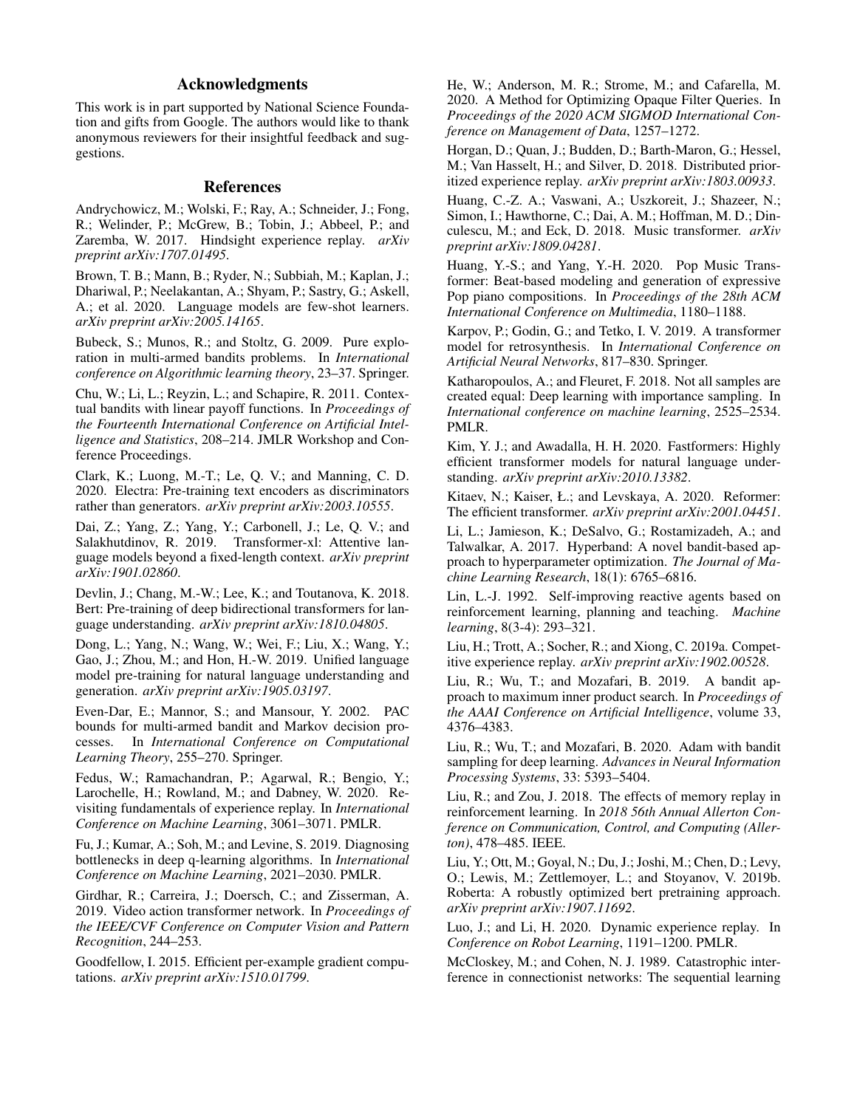# Acknowledgments

This work is in part supported by National Science Foundation and gifts from Google. The authors would like to thank anonymous reviewers for their insightful feedback and suggestions.

### References

<span id="page-7-15"></span>Andrychowicz, M.; Wolski, F.; Ray, A.; Schneider, J.; Fong, R.; Welinder, P.; McGrew, B.; Tobin, J.; Abbeel, P.; and Zaremba, W. 2017. Hindsight experience replay. *arXiv preprint arXiv:1707.01495*.

<span id="page-7-3"></span>Brown, T. B.; Mann, B.; Ryder, N.; Subbiah, M.; Kaplan, J.; Dhariwal, P.; Neelakantan, A.; Shyam, P.; Sastry, G.; Askell, A.; et al. 2020. Language models are few-shot learners. *arXiv preprint arXiv:2005.14165*.

<span id="page-7-24"></span>Bubeck, S.; Munos, R.; and Stoltz, G. 2009. Pure exploration in multi-armed bandits problems. In *International conference on Algorithmic learning theory*, 23–37. Springer.

<span id="page-7-29"></span>Chu, W.; Li, L.; Reyzin, L.; and Schapire, R. 2011. Contextual bandits with linear payoff functions. In *Proceedings of the Fourteenth International Conference on Artificial Intelligence and Statistics*, 208–214. JMLR Workshop and Conference Proceedings.

<span id="page-7-4"></span>Clark, K.; Luong, M.-T.; Le, Q. V.; and Manning, C. D. 2020. Electra: Pre-training text encoders as discriminators rather than generators. *arXiv preprint arXiv:2003.10555*.

<span id="page-7-2"></span>Dai, Z.; Yang, Z.; Yang, Y.; Carbonell, J.; Le, Q. V.; and Salakhutdinov, R. 2019. Transformer-xl: Attentive language models beyond a fixed-length context. *arXiv preprint arXiv:1901.02860*.

<span id="page-7-0"></span>Devlin, J.; Chang, M.-W.; Lee, K.; and Toutanova, K. 2018. Bert: Pre-training of deep bidirectional transformers for language understanding. *arXiv preprint arXiv:1810.04805*.

<span id="page-7-6"></span>Dong, L.; Yang, N.; Wang, W.; Wei, F.; Liu, X.; Wang, Y.; Gao, J.; Zhou, M.; and Hon, H.-W. 2019. Unified language model pre-training for natural language understanding and generation. *arXiv preprint arXiv:1905.03197*.

<span id="page-7-25"></span>Even-Dar, E.; Mannor, S.; and Mansour, Y. 2002. PAC bounds for multi-armed bandit and Markov decision processes. In *International Conference on Computational Learning Theory*, 255–270. Springer.

<span id="page-7-5"></span>Fedus, W.; Ramachandran, P.; Agarwal, R.; Bengio, Y.; Larochelle, H.; Rowland, M.; and Dabney, W. 2020. Revisiting fundamentals of experience replay. In *International Conference on Machine Learning*, 3061–3071. PMLR.

<span id="page-7-19"></span>Fu, J.; Kumar, A.; Soh, M.; and Levine, S. 2019. Diagnosing bottlenecks in deep q-learning algorithms. In *International Conference on Machine Learning*, 2021–2030. PMLR.

<span id="page-7-11"></span>Girdhar, R.; Carreira, J.; Doersch, C.; and Zisserman, A. 2019. Video action transformer network. In *Proceedings of the IEEE/CVF Conference on Computer Vision and Pattern Recognition*, 244–253.

<span id="page-7-22"></span>Goodfellow, I. 2015. Efficient per-example gradient computations. *arXiv preprint arXiv:1510.01799*.

<span id="page-7-28"></span>He, W.; Anderson, M. R.; Strome, M.; and Cafarella, M. 2020. A Method for Optimizing Opaque Filter Queries. In *Proceedings of the 2020 ACM SIGMOD International Conference on Management of Data*, 1257–1272.

<span id="page-7-14"></span>Horgan, D.; Quan, J.; Budden, D.; Barth-Maron, G.; Hessel, M.; Van Hasselt, H.; and Silver, D. 2018. Distributed prioritized experience replay. *arXiv preprint arXiv:1803.00933*.

<span id="page-7-9"></span>Huang, C.-Z. A.; Vaswani, A.; Uszkoreit, J.; Shazeer, N.; Simon, I.; Hawthorne, C.; Dai, A. M.; Hoffman, M. D.; Dinculescu, M.; and Eck, D. 2018. Music transformer. *arXiv preprint arXiv:1809.04281*.

<span id="page-7-12"></span>Huang, Y.-S.; and Yang, Y.-H. 2020. Pop Music Transformer: Beat-based modeling and generation of expressive Pop piano compositions. In *Proceedings of the 28th ACM International Conference on Multimedia*, 1180–1188.

<span id="page-7-10"></span>Karpov, P.; Godin, G.; and Tetko, I. V. 2019. A transformer model for retrosynthesis. In *International Conference on Artificial Neural Networks*, 817–830. Springer.

<span id="page-7-21"></span>Katharopoulos, A.; and Fleuret, F. 2018. Not all samples are created equal: Deep learning with importance sampling. In *International conference on machine learning*, 2525–2534. PMLR.

<span id="page-7-8"></span>Kim, Y. J.; and Awadalla, H. H. 2020. Fastformers: Highly efficient transformer models for natural language understanding. *arXiv preprint arXiv:2010.13382*.

<span id="page-7-7"></span>Kitaev, N.; Kaiser, Ł.; and Levskaya, A. 2020. Reformer: The efficient transformer. *arXiv preprint arXiv:2001.04451*.

<span id="page-7-27"></span>Li, L.; Jamieson, K.; DeSalvo, G.; Rostamizadeh, A.; and Talwalkar, A. 2017. Hyperband: A novel bandit-based approach to hyperparameter optimization. *The Journal of Machine Learning Research*, 18(1): 6765–6816.

<span id="page-7-13"></span>Lin, L.-J. 1992. Self-improving reactive agents based on reinforcement learning, planning and teaching. *Machine learning*, 8(3-4): 293–321.

<span id="page-7-17"></span>Liu, H.; Trott, A.; Socher, R.; and Xiong, C. 2019a. Competitive experience replay. *arXiv preprint arXiv:1902.00528*.

<span id="page-7-26"></span>Liu, R.; Wu, T.; and Mozafari, B. 2019. A bandit approach to maximum inner product search. In *Proceedings of the AAAI Conference on Artificial Intelligence*, volume 33, 4376–4383.

<span id="page-7-23"></span>Liu, R.; Wu, T.; and Mozafari, B. 2020. Adam with bandit sampling for deep learning. *Advances in Neural Information Processing Systems*, 33: 5393–5404.

<span id="page-7-18"></span>Liu, R.; and Zou, J. 2018. The effects of memory replay in reinforcement learning. In *2018 56th Annual Allerton Conference on Communication, Control, and Computing (Allerton)*, 478–485. IEEE.

<span id="page-7-1"></span>Liu, Y.; Ott, M.; Goyal, N.; Du, J.; Joshi, M.; Chen, D.; Levy, O.; Lewis, M.; Zettlemoyer, L.; and Stoyanov, V. 2019b. Roberta: A robustly optimized bert pretraining approach. *arXiv preprint arXiv:1907.11692*.

<span id="page-7-16"></span>Luo, J.; and Li, H. 2020. Dynamic experience replay. In *Conference on Robot Learning*, 1191–1200. PMLR.

<span id="page-7-20"></span>McCloskey, M.; and Cohen, N. J. 1989. Catastrophic interference in connectionist networks: The sequential learning